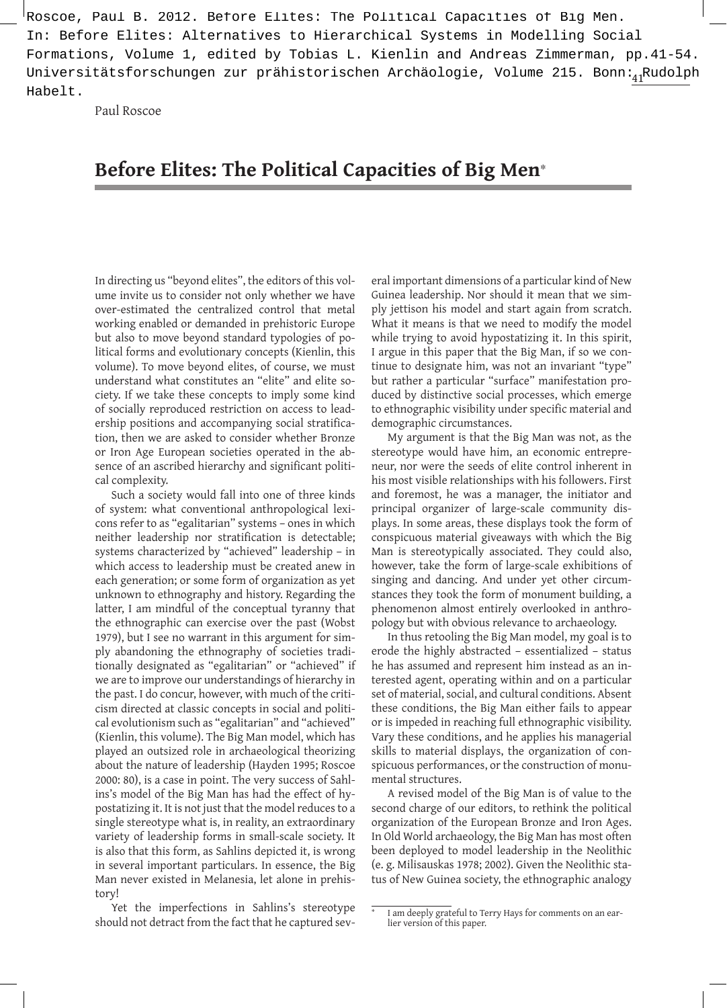Universitätsforschungen zur prähistorischen Archäologie, Volume 215. Bonn: $\frac{41}{10}$ Rudolph In: Before Elites: Alternatives to Hierarchical Systems in Modelling Social Formations, Volume 1, edited by Tobias L. Kienlin and Andreas Zimmerman, pp.41-54. Habelt.

Paul Roscoe

# **Before Elites: The Political Capacities of Big Men**\*

In directing us "beyond elites", the editors of this volume invite us to consider not only whether we have over-estimated the centralized control that metal working enabled or demanded in prehistoric Europe but also to move beyond standard typologies of political forms and evolutionary concepts (Kienlin, this volume). To move beyond elites, of course, we must understand what constitutes an "elite" and elite society. If we take these concepts to imply some kind of socially reproduced restriction on access to leadership positions and accompanying social stratification, then we are asked to consider whether Bronze or Iron Age European societies operated in the absence of an ascribed hierarchy and significant political complexity.

Such a society would fall into one of three kinds of system: what conventional anthropological lexicons refer to as "egalitarian" systems – ones in which neither leadership nor stratification is detectable; systems characterized by "achieved" leadership – in which access to leadership must be created anew in each generation; or some form of organization as yet unknown to ethnography and history. Regarding the latter, I am mindful of the conceptual tyranny that the ethnographic can exercise over the past (Wobst 1979), but I see no warrant in this argument for simply abandoning the ethnography of societies traditionally designated as "egalitarian" or "achieved" if we are to improve our understandings of hierarchy in the past. I do concur, however, with much of the criticism directed at classic concepts in social and political evolutionism such as "egalitarian" and "achieved" (Kienlin, this volume). The Big Man model, which has played an outsized role in archaeological theorizing about the nature of leadership (Hayden 1995; Roscoe 2000: 80), is a case in point. The very success of Sahlins's model of the Big Man has had the effect of hypostatizing it. It is not just that the model reduces to a single stereotype what is, in reality, an extraordinary variety of leadership forms in small-scale society. It is also that this form, as Sahlins depicted it, is wrong in several important particulars. In essence, the Big Man never existed in Melanesia, let alone in prehistory! Roscoe, Fig. 2011, Roscoe, Paul B. 2012. The paper is the paper is the paper is the paper is the paper is the paper is the paper is the paper is the paper is the paper is the paper is the paper is the paper is the paper i

Yet the imperfections in Sahlins's stereotype should not detract from the fact that he captured sev-

eral important dimensions of a particular kind of New Guinea leadership. Nor should it mean that we simply jettison his model and start again from scratch. What it means is that we need to modify the model while trying to avoid hypostatizing it. In this spirit, I argue in this paper that the Big Man, if so we continue to designate him, was not an invariant "type" but rather a particular "surface" manifestation produced by distinctive social processes, which emerge to ethnographic visibility under specific material and demographic circumstances.

My argument is that the Big Man was not, as the stereotype would have him, an economic entrepreneur, nor were the seeds of elite control inherent in his most visible relationships with his followers. First and foremost, he was a manager, the initiator and principal organizer of large-scale community displays. In some areas, these displays took the form of conspicuous material giveaways with which the Big Man is stereotypically associated. They could also, however, take the form of large-scale exhibitions of singing and dancing. And under yet other circumstances they took the form of monument building, a phenomenon almost entirely overlooked in anthropology but with obvious relevance to archaeology.

In thus retooling the Big Man model, my goal is to erode the highly abstracted – essentialized – status he has assumed and represent him instead as an interested agent, operating within and on a particular set of material, social, and cultural conditions. Absent these conditions, the Big Man either fails to appear or is impeded in reaching full ethnographic visibility. Vary these conditions, and he applies his managerial skills to material displays, the organization of conspicuous performances, or the construction of monumental structures.

A revised model of the Big Man is of value to the second charge of our editors, to rethink the political organization of the European Bronze and Iron Ages. In Old World archaeology, the Big Man has most often been deployed to model leadership in the Neolithic (e. g. Milisauskas 1978; 2002). Given the Neolithic status of New Guinea society, the ethnographic analogy

I am deeply grateful to Terry Hays for comments on an ear-<br>lier version of this paper.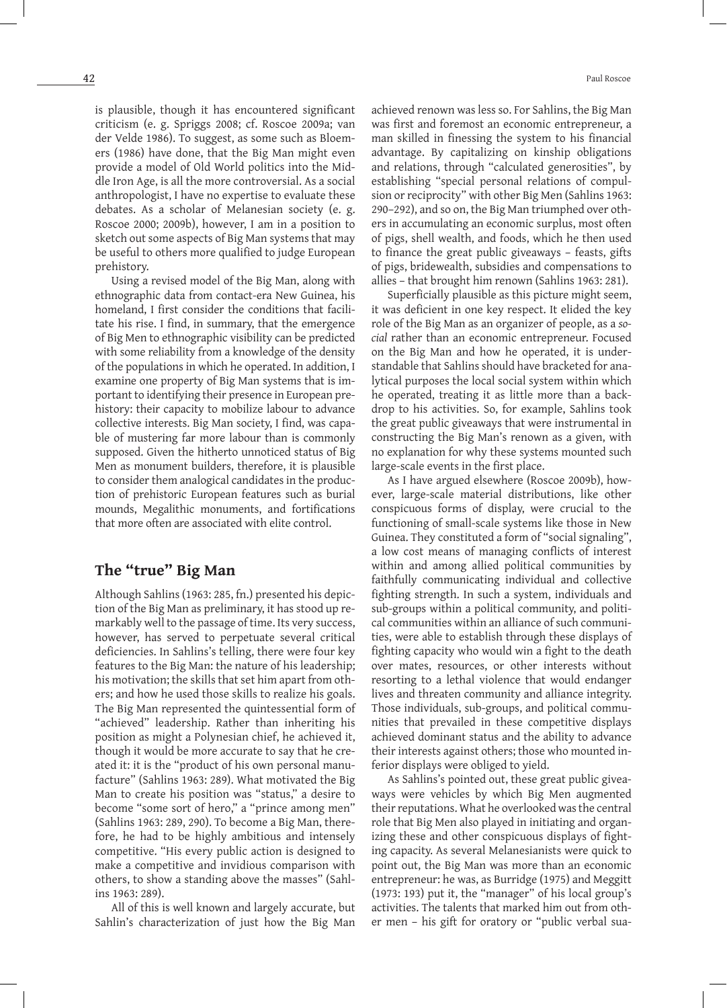is plausible, though it has encountered significant criticism (e. g. Spriggs 2008; cf. Roscoe 2009a; van der Velde 1986). To suggest, as some such as Bloemers (1986) have done, that the Big Man might even provide a model of Old World politics into the Middle Iron Age, is all the more controversial. As a social anthropologist, I have no expertise to evaluate these debates. As a scholar of Melanesian society (e. g. Roscoe 2000; 2009b), however, I am in a position to sketch out some aspects of Big Man systems that may be useful to others more qualified to judge European prehistory.

Using a revised model of the Big Man, along with ethnographic data from contact-era New Guinea, his homeland, I first consider the conditions that facilitate his rise. I find, in summary, that the emergence of Big Men to ethnographic visibility can be predicted with some reliability from a knowledge of the density of the populations in which he operated. In addition, I examine one property of Big Man systems that is important to identifying their presence in European prehistory: their capacity to mobilize labour to advance collective interests. Big Man society, I find, was capable of mustering far more labour than is commonly supposed. Given the hitherto unnoticed status of Big Men as monument builders, therefore, it is plausible to consider them analogical candidates in the production of prehistoric European features such as burial mounds, Megalithic monuments, and fortifications that more often are associated with elite control.

# **The "true" Big Man**

Although Sahlins (1963: 285, fn.) presented his depiction of the Big Man as preliminary, it has stood up remarkably well to the passage of time. Its very success, however, has served to perpetuate several critical deficiencies. In Sahlins's telling, there were four key features to the Big Man: the nature of his leadership; his motivation; the skills that set him apart from others; and how he used those skills to realize his goals. The Big Man represented the quintessential form of "achieved" leadership. Rather than inheriting his position as might a Polynesian chief, he achieved it, though it would be more accurate to say that he created it: it is the "product of his own personal manufacture" (Sahlins 1963: 289). What motivated the Big Man to create his position was "status," a desire to become "some sort of hero," a "prince among men" (Sahlins 1963: 289, 290). To become a Big Man, therefore, he had to be highly ambitious and intensely competitive. "His every public action is designed to make a competitive and invidious comparison with others, to show a standing above the masses" (Sahlins 1963: 289).

All of this is well known and largely accurate, but Sahlin's characterization of just how the Big Man achieved renown was less so. For Sahlins, the Big Man was first and foremost an economic entrepreneur, a man skilled in finessing the system to his financial advantage. By capitalizing on kinship obligations and relations, through "calculated generosities", by establishing "special personal relations of compulsion or reciprocity" with other Big Men (Sahlins 1963: 290–292), and so on, the Big Man triumphed over others in accumulating an economic surplus, most often of pigs, shell wealth, and foods, which he then used to finance the great public giveaways – feasts, gifts of pigs, bridewealth, subsidies and compensations to allies – that brought him renown (Sahlins 1963: 281).

Superficially plausible as this picture might seem, it was deficient in one key respect. It elided the key role of the Big Man as an organizer of people, as a *social* rather than an economic entrepreneur. Focused on the Big Man and how he operated, it is understandable that Sahlins should have bracketed for analytical purposes the local social system within which he operated, treating it as little more than a backdrop to his activities. So, for example, Sahlins took the great public giveaways that were instrumental in constructing the Big Man's renown as a given, with no explanation for why these systems mounted such large-scale events in the first place.

As I have argued elsewhere (Roscoe 2009b), however, large-scale material distributions, like other conspicuous forms of display, were crucial to the functioning of small-scale systems like those in New Guinea. They constituted a form of "social signaling", a low cost means of managing conflicts of interest within and among allied political communities by faithfully communicating individual and collective fighting strength. In such a system, individuals and sub-groups within a political community, and political communities within an alliance of such communities, were able to establish through these displays of fighting capacity who would win a fight to the death over mates, resources, or other interests without resorting to a lethal violence that would endanger lives and threaten community and alliance integrity. Those individuals, sub-groups, and political communities that prevailed in these competitive displays achieved dominant status and the ability to advance their interests against others; those who mounted inferior displays were obliged to yield.

As Sahlins's pointed out, these great public giveaways were vehicles by which Big Men augmented their reputations. What he overlooked was the central role that Big Men also played in initiating and organizing these and other conspicuous displays of fighting capacity. As several Melanesianists were quick to point out, the Big Man was more than an economic entrepreneur: he was, as Burridge (1975) and Meggitt (1973: 193) put it, the "manager" of his local group's activities. The talents that marked him out from other men – his gift for oratory or "public verbal sua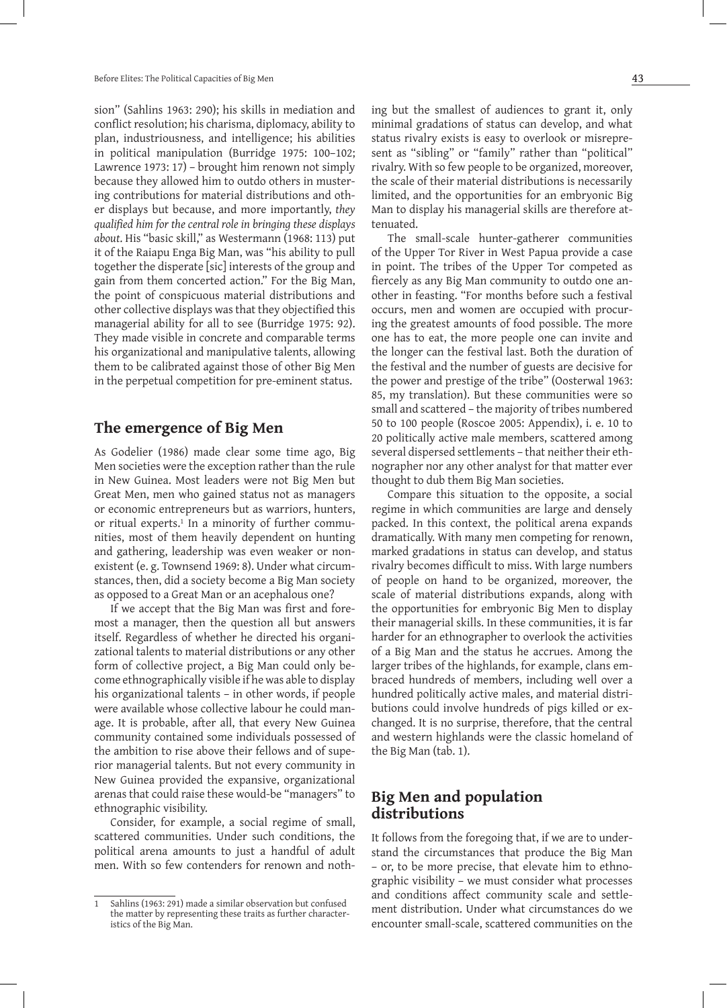sion" (Sahlins 1963: 290); his skills in mediation and conflict resolution; his charisma, diplomacy, ability to plan, industriousness, and intelligence; his abilities in political manipulation (Burridge 1975: 100–102; Lawrence 1973: 17) – brought him renown not simply because they allowed him to outdo others in mustering contributions for material distributions and other displays but because, and more importantly, *they qualified him for the central role in bringing these displays about*. His "basic skill," as Westermann (1968: 113) put it of the Raiapu Enga Big Man, was "his ability to pull together the disperate [sic] interests of the group and gain from them concerted action." For the Big Man, the point of conspicuous material distributions and other collective displays wasthat they objectified this managerial ability for all to see (Burridge 1975: 92). They made visible in concrete and comparable terms his organizational and manipulative talents, allowing them to be calibrated against those of other Big Men in the perpetual competition for pre-eminent status.

### **The emergence of Big Men**

As Godelier (1986) made clear some time ago, Big Men societies were the exception rather than the rule in New Guinea. Most leaders were not Big Men but Great Men, men who gained status not as managers or economic entrepreneurs but as warriors, hunters, or ritual experts.1 In a minority of further communities, most of them heavily dependent on hunting and gathering, leadership was even weaker or nonexistent (e. g. Townsend 1969: 8). Under what circumstances, then, did a society become a Big Man society as opposed to a Great Man or an acephalous one?

If we accept that the Big Man was first and foremost a manager, then the question all but answers itself. Regardless of whether he directed his organizational talents to material distributions or any other form of collective project, a Big Man could only become ethnographically visible if he was able to display his organizational talents – in other words, if people were available whose collective labour he could manage. It is probable, after all, that every New Guinea community contained some individuals possessed of the ambition to rise above their fellows and of superior managerial talents. But not every community in New Guinea provided the expansive, organizational arenas that could raise these would-be "managers" to ethnographic visibility.

Consider, for example, a social regime of small, scattered communities. Under such conditions, the political arena amounts to just a handful of adult men. With so few contenders for renown and nothing but the smallest of audiences to grant it, only minimal gradations of status can develop, and what status rivalry exists is easy to overlook or misrepresent as "sibling" or "family" rather than "political" rivalry. With so few people to be organized, moreover, the scale of their material distributions is necessarily limited, and the opportunities for an embryonic Big Man to display his managerial skills are therefore attenuated.

The small-scale hunter-gatherer communities of the Upper Tor River in West Papua provide a case in point. The tribes of the Upper Tor competed as fiercely as any Big Man community to outdo one another in feasting. "For months before such a festival occurs, men and women are occupied with procuring the greatest amounts of food possible. The more one has to eat, the more people one can invite and the longer can the festival last. Both the duration of the festival and the number of guests are decisive for the power and prestige of the tribe" (Oosterwal 1963: 85, my translation). But these communities were so small and scattered – the majority of tribes numbered 50 to 100 people (Roscoe 2005: Appendix), i. e. 10 to 20 politically active male members, scattered among several dispersed settlements – that neither their ethnographer nor any other analyst for that matter ever thought to dub them Big Man societies.

Compare this situation to the opposite, a social regime in which communities are large and densely packed. In this context, the political arena expands dramatically. With many men competing for renown, marked gradations in status can develop, and status rivalry becomes difficult to miss. With large numbers of people on hand to be organized, moreover, the scale of material distributions expands, along with the opportunities for embryonic Big Men to display their managerial skills. In these communities, it is far harder for an ethnographer to overlook the activities of a Big Man and the status he accrues. Among the larger tribes of the highlands, for example, clans embraced hundreds of members, including well over a hundred politically active males, and material distributions could involve hundreds of pigs killed or exchanged. It is no surprise, therefore, that the central and western highlands were the classic homeland of the Big Man (tab. 1).

# **Big Men and population distributions**

It follows from the foregoing that, if we are to understand the circumstances that produce the Big Man – or, to be more precise, that elevate him to ethnographic visibility – we must consider what processes and conditions affect community scale and settlement distribution. Under what circumstances do we encounter small-scale, scattered communities on the

Sahlins (1963: 291) made a similar observation but confused the matter by representing these traits as further characteristics of the Big Man.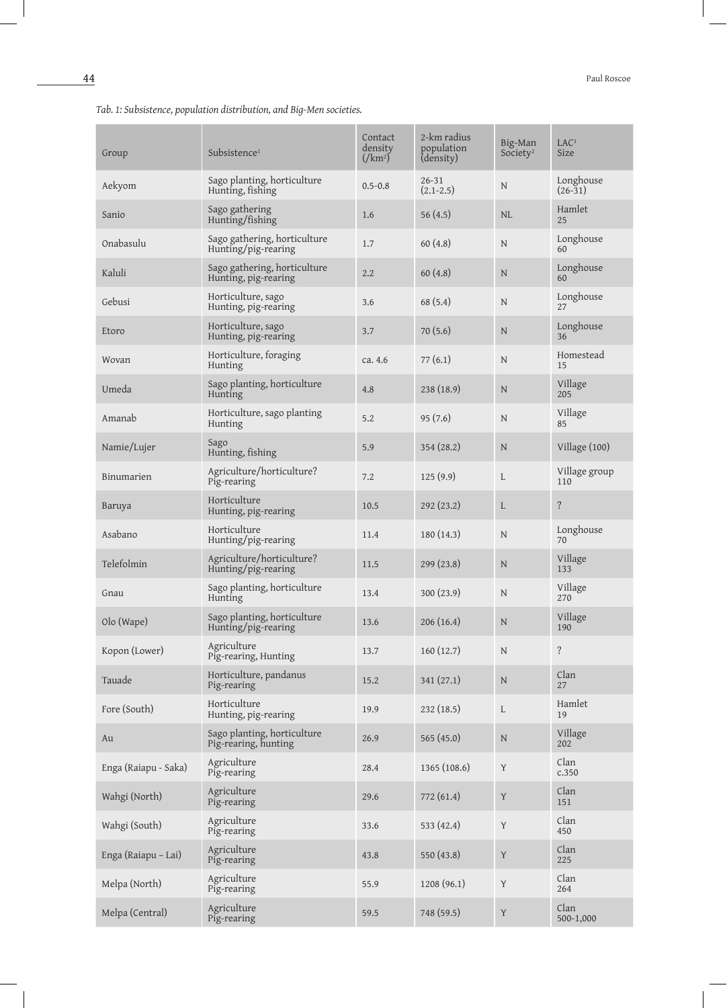| Group                | Subsistence <sup>1</sup>                             | Contact<br>density<br>$\left(\sqrt{km^2}\right)^7$ | 2-km radius<br>population<br>(density) | Big-Man<br>Society <sup>2</sup> | LAC <sup>3</sup><br>Size |
|----------------------|------------------------------------------------------|----------------------------------------------------|----------------------------------------|---------------------------------|--------------------------|
| Aekyom               | Sago planting, horticulture<br>Hunting, fishing      | $0.5 - 0.8$                                        | $26 - 31$<br>$(2.1 - 2.5)$             | N                               | Longhouse<br>$(26-31)$   |
| Sanio                | Sago gathering<br>Hunting/fishing                    | 1.6                                                | 56(4.5)                                | <b>NL</b>                       | Hamlet<br>25             |
| Onabasulu            | Sago gathering, horticulture<br>Hunting/pig-rearing  | 1.7                                                | 60(4.8)                                | N                               | Longhouse<br>60          |
| Kaluli               | Sago gathering, horticulture<br>Hunting, pig-rearing | 2.2                                                | 60(4.8)                                | $\mathbf N$                     | Longhouse<br>60          |
| Gebusi               | Horticulture, sago<br>Hunting, pig-rearing           | 3.6                                                | 68(5.4)                                | N                               | Longhouse<br>27          |
| Etoro                | Horticulture, sago<br>Hunting, pig-rearing           | 3.7                                                | 70(5.6)                                | $\mathbf N$                     | Longhouse<br>36          |
| Wovan                | Horticulture, foraging<br>Hunting                    | ca. 4.6                                            | 77(6.1)                                | N                               | Homestead<br>15          |
| Umeda                | Sago planting, horticulture<br>Hunting               | 4.8                                                | 238(18.9)                              | N                               | Village<br>205           |
| Amanab               | Horticulture, sago planting<br>Hunting               | 5.2                                                | 95(7.6)                                | N                               | Village<br>85            |
| Namie/Lujer          | Sago<br>Hunting, fishing                             | 5.9                                                | 354(28.2)                              | $\mathbf N$                     | Village (100)            |
| Binumarien           | Agriculture/horticulture?<br>Pig-rearing             | 7.2                                                | 125(9.9)                               | L                               | Village group<br>110     |
| Baruya               | Horticulture<br>Hunting, pig-rearing                 | 10.5                                               | 292(23.2)                              | L                               | $\overline{?}$           |
| Asabano              | Horticulture<br>Hunting/pig-rearing                  | 11.4                                               | 180 (14.3)                             | N                               | Longhouse<br>70          |
| Telefolmin           | Agriculture/horticulture?<br>Hunting/pig-rearing     | 11.5                                               | 299(23.8)                              | $\mathbf N$                     | Village<br>133           |
| Gnau                 | Sago planting, horticulture<br>Hunting               | 13.4                                               | 300(23.9)                              | $\mathbf N$                     | Village<br>270           |
| Olo (Wape)           | Sago planting, horticulture<br>Hunting/pig-rearing   | 13.6                                               | 206(16.4)                              | $\mathbf N$                     | Village<br>190           |
| Kopon (Lower)        | Agriculture<br>Pig-rearing, Hunting                  | 13.7                                               | 160(12.7)                              | $\mathbf N$                     | $\overline{?}$           |
| Tauade               | Horticulture, pandanus<br>Pig-rearing                | 15.2                                               | 341(27.1)                              | ${\bf N}$                       | Clan<br>27               |
| Fore (South)         | Horticulture<br>Hunting, pig-rearing                 | 19.9                                               | 232(18.5)                              | $\mathbf{L}$                    | Hamlet<br>19             |
| Au                   | Sago planting, horticulture<br>Pig-rearing, hunting  | 26.9                                               | 565 (45.0)                             | ${\bf N}$                       | Village<br>202           |
| Enga (Raiapu - Saka) | Agriculture<br>Pig-rearing                           | 28.4                                               | 1365 (108.6)                           | Y                               | Clan<br>c.350            |
| Wahgi (North)        | Agriculture<br>Pig-rearing                           | 29.6                                               | 772 (61.4)                             | Y                               | Clan<br>151              |
| Wahgi (South)        | Agriculture<br>Pig-rearing                           | 33.6                                               | 533 (42.4)                             | Y                               | Clan<br>450              |
| Enga (Raiapu - Lai)  | Agriculture<br>Pig-rearing                           | 43.8                                               | 550 (43.8)                             | Y                               | Clan<br>225              |
| Melpa (North)        | Agriculture<br>Pig-rearing                           | 55.9                                               | 1208 (96.1)                            | Y                               | Clan<br>264              |
| Melpa (Central)      | Agriculture<br>Pig-rearing                           | 59.5                                               | 748 (59.5)                             | $\mathbf Y$                     | Clan<br>500-1,000        |

*Tab. 1: Subsistence, population distribution, and Big-Men societies.*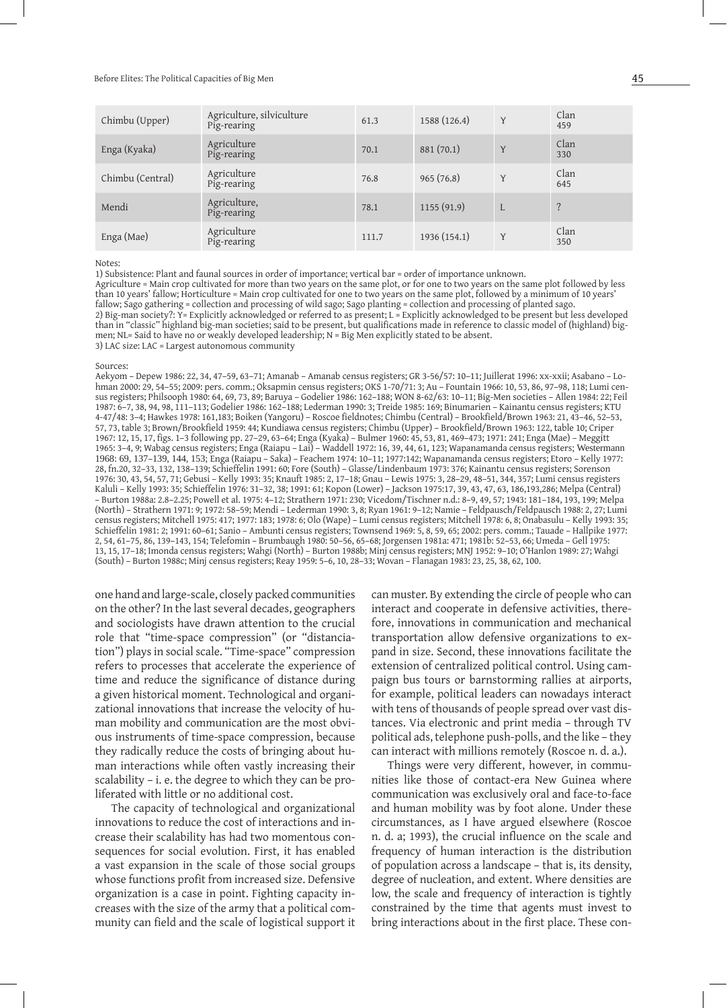#### Before Elites: The Political Capacities of Big Men  $45$

| Chimbu (Upper)   | Agriculture, silviculture<br>Pig-rearing | 61.3  | 1588 (126.4) | Y | Clan<br>459 |
|------------------|------------------------------------------|-------|--------------|---|-------------|
| Enga (Kyaka)     | Agriculture<br>Pig-rearing               | 70.1  | 881(70.1)    | Y | Clan<br>330 |
| Chimbu (Central) | Agriculture<br>Pig-rearing               | 76.8  | 965(76.8)    | Y | Clan<br>645 |
| Mendi            | Agriculture,<br>Pig-rearing              | 78.1  | 1155(91.9)   | L | ?           |
| Enga (Mae)       | Agriculture<br>Pig-rearing               | 111.7 | 1936 (154.1) | Y | Clan<br>350 |

#### Notes:

1) Subsistence: Plant and faunal sources in order of importance; vertical bar = order of importance unknown.

Agriculture = Main crop cultivated for more than two years on the same plot, or for one to two years on the same plot followed by less than 10 years' fallow; Horticulture = Main crop cultivated for one to two years on the same plot, followed by a minimum of 10 years' fallow; Sago gathering = collection and processing of wild sago; Sago planting = collection and processing of planted sago. 2) Big-man society?: Y= Explicitly acknowledged or referred to as present; L = Explicitly acknowledged to be present but less developed than in "classic" highland big-man societies; said to be present, but qualifications made in reference to classic model of (highland) bigmen; NL= Said to have no or weakly developed leadership; N = Big Men explicitly stated to be absent. 3) LAC size: LAC = Largest autonomous community

#### Sources:

Aekyom – Depew 1986: 22, 34, 47–59, 63–71; Amanab – Amanab census registers; GR 3-56/57: 10–11; Juillerat 1996: xx-xxii; Asabano – Lohman 2000: 29, 54–55; 2009: pers. comm.; Oksapmin census registers; OKS 1-70/71: 3; Au – Fountain 1966: 10, 53, 86, 97–98, 118; Lumi census registers; Philsooph 1980: 64, 69, 73, 89; Baruya – Godelier 1986: 162–188; WON 8-62/63: 10–11; Big-Men societies – Allen 1984: 22; Feil 1987: 6–7, 38, 94, 98, 111–113; Godelier 1986: 162–188; Lederman 1990: 3; Treide 1985: 169; Binumarien – Kainantu census registers; KTU 4-47/48: 3–4; Hawkes 1978: 161,183; Boiken (Yangoru) – Roscoe fieldnotes; Chimbu (Central) – Brookfield/Brown 1963: 21, 43–46, 52–53, 57, 73, table 3; Brown/Brookfield 1959: 44; Kundiawa census registers; Chimbu (Upper) – Brookfield/Brown 1963: 122, table 10; Criper 1967: 12, 15, 17, figs. 1–3 following pp. 27–29, 63–64; Enga (Kyaka) – Bulmer 1960: 45, 53, 81, 469–473; 1971: 241; Enga (Mae) – Meggitt 1965: 3–4, 9; Wabag census registers; Enga (Raiapu – Lai) – Waddell 1972: 16, 39, 44, 61, 123; Wapanamanda census registers; Westermann 1968: 69, 137–139, 144, 153; Enga (Raiapu – Saka) – Feachem 1974: 10–11; 1977:142; Wapanamanda census registers; Etoro – Kelly 1977: 28, fn.20, 32–33, 132, 138–139; Schieffelin 1991: 60; Fore (South) – Glasse/Lindenbaum 1973: 376; Kainantu census registers; Sorenson 1976: 30, 43, 54, 57, 71; Gebusi – Kelly 1993: 35; Knauft 1985: 2, 17–18; Gnau – Lewis 1975: 3, 28–29, 48–51, 344, 357; Lumi census registers Kaluli – Kelly 1993: 35; Schieffelin 1976: 31–32, 38; 1991: 61; Kopon (Lower) – Jackson 1975:17, 39, 43, 47, 63, 186,193,286; Melpa (Central) – Burton 1988a: 2.8–2.25; Powell et al. 1975: 4–12; Strathern 1971: 230; Vicedom/Tischner n.d.: 8–9, 49, 57; 1943: 181–184, 193, 199; Melpa (North) – Strathern 1971: 9; 1972: 58–59; Mendi – Lederman 1990: 3, 8; Ryan 1961: 9–12; Namie – Feldpausch/Feldpausch 1988: 2, 27; Lumi census registers; Mitchell 1975: 417; 1977: 183; 1978: 6; Olo (Wape) – Lumi census registers; Mitchell 1978: 6, 8; Onabasulu – Kelly 1993: 35; Schieffelin 1981: 2; 1991: 60–61; Sanio – Ambunti census registers; Townsend 1969: 5, 8, 59, 65; 2002: pers. comm.; Tauade – Hallpike 1977: 2, 54, 61–75, 86, 139–143, 154; Telefomin – Brumbaugh 1980: 50–56, 65–68; Jorgensen 1981a: 471; 1981b: 52–53, 66; Umeda – Gell 1975: 13, 15, 17–18; Imonda census registers; Wahgi (North) – Burton 1988b; Minj census registers; MNJ 1952: 9–10; O'Hanlon 1989: 27; Wahgi (South) – Burton 1988c; Minj census registers; Reay 1959: 5–6, 10, 28–33; Wovan – Flanagan 1983: 23, 25, 38, 62, 100.

one hand and large-scale, closely packed communities on the other? In the last several decades, geographers and sociologists have drawn attention to the crucial role that "time-space compression" (or "distanciation") plays in social scale. "Time-space" compression refers to processes that accelerate the experience of time and reduce the significance of distance during a given historical moment. Technological and organizational innovations that increase the velocity of human mobility and communication are the most obvious instruments of time-space compression, because they radically reduce the costs of bringing about human interactions while often vastly increasing their scalability – i. e. the degree to which they can be proliferated with little or no additional cost.

The capacity of technological and organizational innovations to reduce the cost of interactions and increase their scalability has had two momentous consequences for social evolution. First, it has enabled a vast expansion in the scale of those social groups whose functions profit from increased size. Defensive organization is a case in point. Fighting capacity increases with the size of the army that a political community can field and the scale of logistical support it

can muster. By extending the circle of people who can interact and cooperate in defensive activities, therefore, innovations in communication and mechanical transportation allow defensive organizations to expand in size. Second, these innovations facilitate the extension of centralized political control. Using campaign bus tours or barnstorming rallies at airports, for example, political leaders can nowadays interact with tens of thousands of people spread over vast distances. Via electronic and print media – through TV political ads, telephone push-polls, and the like – they can interact with millions remotely (Roscoe n. d. a.).

Things were very different, however, in communities like those of contact-era New Guinea where communication was exclusively oral and face-to-face and human mobility was by foot alone. Under these circumstances, as I have argued elsewhere (Roscoe n. d. a; 1993), the crucial influence on the scale and frequency of human interaction is the distribution of population across a landscape – that is, its density, degree of nucleation, and extent. Where densities are low, the scale and frequency of interaction is tightly constrained by the time that agents must invest to bring interactions about in the first place. These con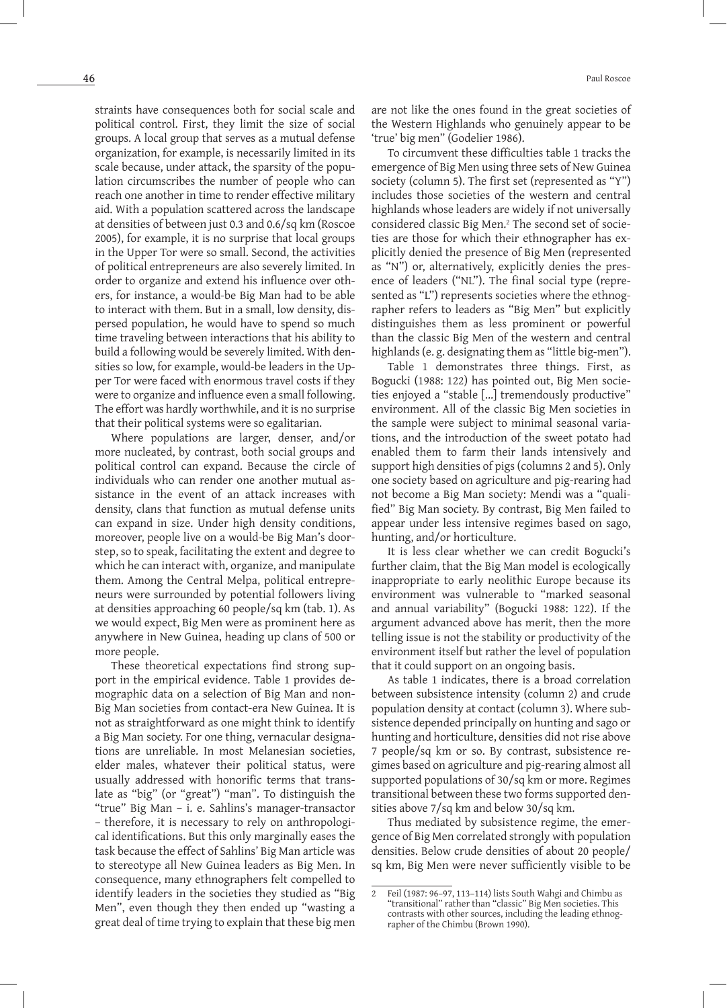straints have consequences both for social scale and political control. First, they limit the size of social groups. A local group that serves as a mutual defense organization, for example, is necessarily limited in its scale because, under attack, the sparsity of the population circumscribes the number of people who can reach one another in time to render effective military aid. With a population scattered across the landscape at densities of between just 0.3 and 0.6/sq km (Roscoe 2005), for example, it is no surprise that local groups in the Upper Tor were so small. Second, the activities of political entrepreneurs are also severely limited. In order to organize and extend his influence over others, for instance, a would-be Big Man had to be able to interact with them. But in a small, low density, dispersed population, he would have to spend so much time traveling between interactions that his ability to build a following would be severely limited. With densities so low, for example, would-be leaders in the Upper Tor were faced with enormous travel costs if they were to organize and influence even a small following. The effort was hardly worthwhile, and it is no surprise that their political systems were so egalitarian.

Where populations are larger, denser, and/or more nucleated, by contrast, both social groups and political control can expand. Because the circle of individuals who can render one another mutual assistance in the event of an attack increases with density, clans that function as mutual defense units can expand in size. Under high density conditions, moreover, people live on a would-be Big Man's doorstep, so to speak, facilitating the extent and degree to which he can interact with, organize, and manipulate them. Among the Central Melpa, political entrepreneurs were surrounded by potential followers living at densities approaching 60 people/sq km (tab. 1). As we would expect, Big Men were as prominent here as anywhere in New Guinea, heading up clans of 500 or more people.

These theoretical expectations find strong support in the empirical evidence. Table 1 provides demographic data on a selection of Big Man and non-Big Man societies from contact-era New Guinea. It is not as straightforward as one might think to identify a Big Man society. For one thing, vernacular designations are unreliable. In most Melanesian societies, elder males, whatever their political status, were usually addressed with honorific terms that translate as "big" (or "great") "man". To distinguish the "true" Big Man – i. e. Sahlins's manager-transactor – therefore, it is necessary to rely on anthropological identifications. But this only marginally eases the task because the effect of Sahlins' Big Man article was to stereotype all New Guinea leaders as Big Men. In consequence, many ethnographers felt compelled to identify leaders in the societies they studied as "Big Men", even though they then ended up "wasting a great deal of time trying to explain that these big men

are not like the ones found in the great societies of the Western Highlands who genuinely appear to be 'true' big men" (Godelier 1986).

To circumvent these difficulties table 1 tracks the emergence of Big Men using three sets of New Guinea society (column 5). The first set (represented as "Y") includes those societies of the western and central highlands whose leaders are widely if not universally considered classic Big Men.2 The second set of societies are those for which their ethnographer has explicitly denied the presence of Big Men (represented as "N") or, alternatively, explicitly denies the presence of leaders ("NL"). The final social type (represented as "L") represents societies where the ethnographer refers to leaders as "Big Men" but explicitly distinguishes them as less prominent or powerful than the classic Big Men of the western and central highlands (e.g. designating them as "little big-men").

Table 1 demonstrates three things. First, as Bogucki (1988: 122) has pointed out, Big Men societies enjoyed a "stable [...] tremendously productive" environment. All of the classic Big Men societies in the sample were subject to minimal seasonal variations, and the introduction of the sweet potato had enabled them to farm their lands intensively and support high densities of pigs (columns 2 and 5). Only one society based on agriculture and pig-rearing had not become a Big Man society: Mendi was a "qualified" Big Man society. By contrast, Big Men failed to appear under less intensive regimes based on sago, hunting, and/or horticulture.

It is less clear whether we can credit Bogucki's further claim, that the Big Man model is ecologically inappropriate to early neolithic Europe because its environment was vulnerable to "marked seasonal and annual variability" (Bogucki 1988: 122). If the argument advanced above has merit, then the more telling issue is not the stability or productivity of the environment itself but rather the level of population that it could support on an ongoing basis.

As table 1 indicates, there is a broad correlation between subsistence intensity (column 2) and crude population density at contact (column 3). Where subsistence depended principally on hunting and sago or hunting and horticulture, densities did not rise above 7 people/sq km or so. By contrast, subsistence regimes based on agriculture and pig-rearing almost all supported populations of 30/sq km or more. Regimes transitional between these two forms supported densities above 7/sq km and below 30/sq km.

Thus mediated by subsistence regime, the emergence of Big Men correlated strongly with population densities. Below crude densities of about 20 people/ sq km, Big Men were never sufficiently visible to be

<sup>2</sup> Feil (1987: 96–97, 113–114) lists South Wahgi and Chimbu as "transitional" rather than "classic" Big Men societies. This contrasts with other sources, including the leading ethnographer of the Chimbu (Brown 1990).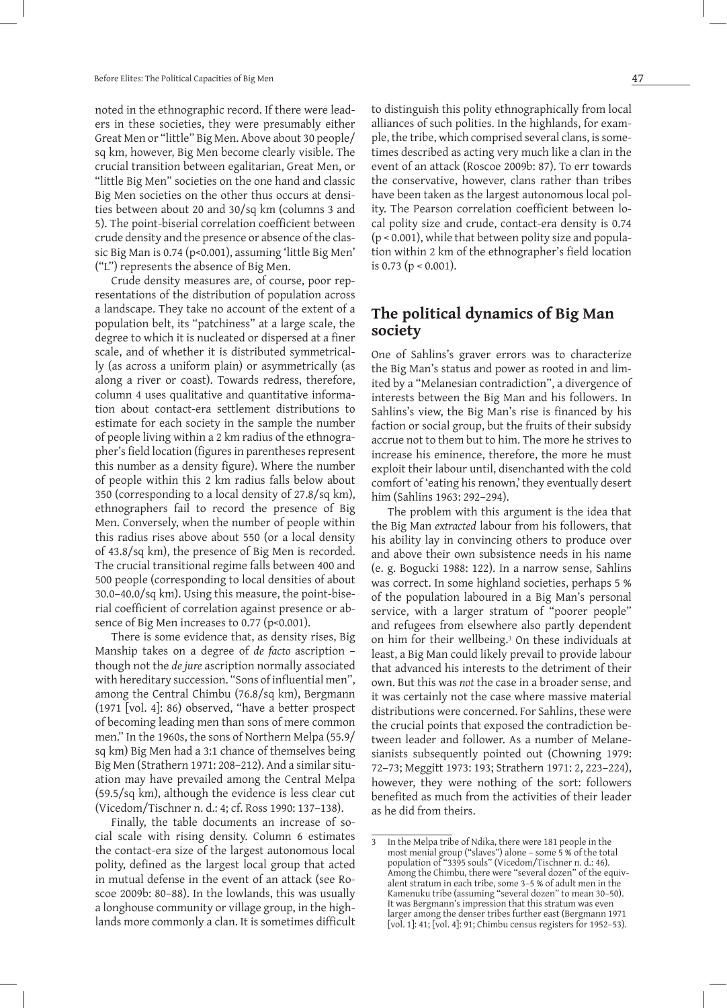noted in the ethnographic record. If there were leaders in these societies, they were presumably either Great Men or "little" Big Men. Above about 30 people/ sq km, however, Big Men become clearly visible. The crucial transition between egalitarian, Great Men, or "little Big Men" societies on the one hand and classic Big Men societies on the other thus occurs at densities between about 20 and 30/sq km (columns 3 and 5). The point-biserial correlation coefficient between crude density and the presence or absence of the classic Big Man is 0.74 (p<0.001), assuming 'little Big Men' ("L") represents the absence of Big Men.

Crude density measures are, of course, poor representations of the distribution of population across a landscape. They take no account of the extent of a population belt, its "patchiness" at a large scale, the degree to which it is nucleated or dispersed at a finer scale, and of whether it is distributed symmetrically (as across a uniform plain) or asymmetrically (as along a river or coast). Towards redress, therefore, column 4 uses qualitative and quantitative information about contact-era settlement distributions to estimate for each society in the sample the number of people living within a 2 km radius of the ethnographer's field location (figures in parentheses represent this number as a density figure). Where the number of people within this 2 km radius falls below about 350 (corresponding to a local density of 27.8/sq km), ethnographers fail to record the presence of Big Men. Conversely, when the number of people within this radius rises above about 550 (or a local density of 43.8/sq km), the presence of Big Men is recorded. The crucial transitional regime falls between 400 and 500 people (corresponding to local densities of about 30.0–40.0/sq km). Using this measure, the point-biserial coefficient of correlation against presence or absence of Big Men increases to 0.77 (p<0.001).

There is some evidence that, as density rises, Big Manship takes on a degree of *de facto* ascription – though not the *de jure* ascription normally associated with hereditary succession. "Sons of influential men", among the Central Chimbu (76.8/sq km), Bergmann (1971 [vol. 4]: 86) observed, "have a better prospect of becoming leading men than sons of mere common men." In the 1960s, the sons of Northern Melpa (55.9/ sq km) Big Men had a 3:1 chance of themselves being Big Men (Strathern 1971: 208–212). And a similar situation may have prevailed among the Central Melpa (59.5/sq km), although the evidence is less clear cut (Vicedom/Tischner n. d.: 4; cf. Ross 1990: 137–138).

Finally, the table documents an increase of social scale with rising density. Column 6 estimates the contact-era size of the largest autonomous local polity, defined as the largest local group that acted in mutual defense in the event of an attack (see Roscoe 2009b: 80–88). In the lowlands, this was usually a longhouse community or village group, in the highlands more commonly a clan. It is sometimes difficult

to distinguish this polity ethnographically from local alliances of such polities. In the highlands, for example, the tribe, which comprised several clans, is sometimes described as acting very much like a clan in the event of an attack (Roscoe 2009b: 87). To err towards the conservative, however, clans rather than tribes have been taken as the largest autonomous local polity. The Pearson correlation coefficient between local polity size and crude, contact-era density is 0.74 (p < 0.001), while that between polity size and population within 2 km of the ethnographer's field location is 0.73 ( $p < 0.001$ ).

# **The political dynamics of Big Man society**

One of Sahlins's graver errors was to characterize the Big Man's status and power as rooted in and limited by a "Melanesian contradiction", a divergence of interests between the Big Man and his followers. In Sahlins's view, the Big Man's rise is financed by his faction or social group, but the fruits of their subsidy accrue not to them but to him. The more he strives to increase his eminence, therefore, the more he must exploit their labour until, disenchanted with the cold comfort of 'eating his renown,' they eventually desert him (Sahlins 1963: 292–294).

The problem with this argument is the idea that the Big Man *extracted* labour from his followers, that his ability lay in convincing others to produce over and above their own subsistence needs in his name (e. g. Bogucki 1988: 122). In a narrow sense, Sahlins was correct. In some highland societies, perhaps 5 % of the population laboured in a Big Man's personal service, with a larger stratum of "poorer people" and refugees from elsewhere also partly dependent on him for their wellbeing.3 On these individuals at least, a Big Man could likely prevail to provide labour that advanced his interests to the detriment of their own. But this was *not* the case in a broader sense, and it was certainly not the case where massive material distributions were concerned. For Sahlins, these were the crucial points that exposed the contradiction between leader and follower. As a number of Melanesianists subsequently pointed out (Chowning 1979: 72–73; Meggitt 1973: 193; Strathern 1971: 2, 223–224), however, they were nothing of the sort: followers benefited as much from the activities of their leader as he did from theirs.

<sup>3</sup> In the Melpa tribe of Ndika, there were 181 people in the most menial group ("slaves") alone – some 5 % of the total population of "3395 souls" (Vicedom/Tischner n. d.: 46). Among the Chimbu, there were "several dozen" of the equivalent stratum in each tribe, some 3–5 % of adult men in the Kamenuku tribe (assuming "several dozen" to mean 30–50). It was Bergmann's impression that this stratum was even larger among the denser tribes further east (Bergmann 1971 [vol. 1]: 41; [vol. 4]: 91; Chimbu census registers for 1952–53).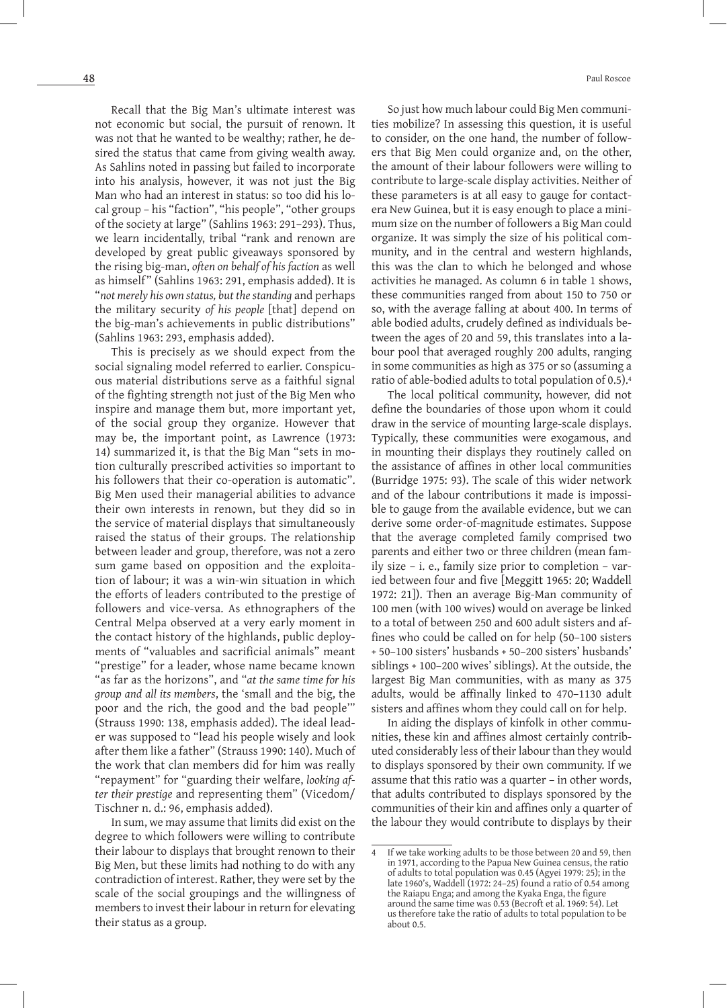Recall that the Big Man's ultimate interest was not economic but social, the pursuit of renown. It was not that he wanted to be wealthy; rather, he desired the status that came from giving wealth away. As Sahlins noted in passing but failed to incorporate into his analysis, however, it was not just the Big Man who had an interest in status: so too did his local group – his "faction", "his people", "other groups of the society at large" (Sahlins 1963: 291–293). Thus, we learn incidentally, tribal "rank and renown are developed by great public giveaways sponsored by the rising big-man, *often on behalf of his faction* as well as himself" (Sahlins 1963: 291, emphasis added). It is "*not merely his own status, but the standing* and perhaps the military security *of his people* [that] depend on the big-man's achievements in public distributions" (Sahlins 1963: 293, emphasis added).

This is precisely as we should expect from the social signaling model referred to earlier. Conspicuous material distributions serve as a faithful signal of the fighting strength not just of the Big Men who inspire and manage them but, more important yet, of the social group they organize. However that may be, the important point, as Lawrence (1973: 14) summarized it, is that the Big Man "sets in motion culturally prescribed activities so important to his followers that their co-operation is automatic". Big Men used their managerial abilities to advance their own interests in renown, but they did so in the service of material displays that simultaneously raised the status of their groups. The relationship between leader and group, therefore, was not a zero sum game based on opposition and the exploitation of labour; it was a win-win situation in which the efforts of leaders contributed to the prestige of followers and vice-versa. As ethnographers of the Central Melpa observed at a very early moment in the contact history of the highlands, public deployments of "valuables and sacrificial animals" meant "prestige" for a leader, whose name became known "as far as the horizons", and "*at the same time for his group and all its members*, the 'small and the big, the poor and the rich, the good and the bad people'" (Strauss 1990: 138, emphasis added). The ideal leader was supposed to "lead his people wisely and look after them like a father" (Strauss 1990: 140). Much of the work that clan members did for him was really "repayment" for "guarding their welfare, *looking after their prestige* and representing them" (Vicedom/ Tischner n. d.: 96, emphasis added).

In sum, we may assume that limits did exist on the degree to which followers were willing to contribute their labour to displays that brought renown to their Big Men, but these limits had nothing to do with any contradiction of interest. Rather, they were set by the scale of the social groupings and the willingness of members to invest their labour in return for elevating their status as a group.

So just how much labour could Big Men communities mobilize? In assessing this question, it is useful to consider, on the one hand, the number of followers that Big Men could organize and, on the other, the amount of their labour followers were willing to contribute to large-scale display activities. Neither of these parameters is at all easy to gauge for contactera New Guinea, but it is easy enough to place a minimum size on the number of followers a Big Man could organize. It was simply the size of his political community, and in the central and western highlands, this was the clan to which he belonged and whose activities he managed. As column 6 in table 1 shows, these communities ranged from about 150 to 750 or so, with the average falling at about 400. In terms of able bodied adults, crudely defined as individuals between the ages of 20 and 59, this translates into a labour pool that averaged roughly 200 adults, ranging in some communities as high as 375 or so (assuming a ratio of able-bodied adults to total population of 0.5).4

The local political community, however, did not define the boundaries of those upon whom it could draw in the service of mounting large-scale displays. Typically, these communities were exogamous, and in mounting their displays they routinely called on the assistance of affines in other local communities (Burridge 1975: 93). The scale of this wider network and of the labour contributions it made is impossible to gauge from the available evidence, but we can derive some order-of-magnitude estimates. Suppose that the average completed family comprised two parents and either two or three children (mean family size – i. e., family size prior to completion – varied between four and five [Meggitt 1965: 20; Waddell 1972: 21]). Then an average Big-Man community of 100 men (with 100 wives) would on average be linked to a total of between 250 and 600 adult sisters and affines who could be called on for help (50–100 sisters + 50–100 sisters' husbands + 50–200 sisters' husbands' siblings + 100–200 wives' siblings). At the outside, the largest Big Man communities, with as many as 375 adults, would be affinally linked to 470–1130 adult sisters and affines whom they could call on for help.

In aiding the displays of kinfolk in other communities, these kin and affines almost certainly contributed considerably less of their labour than they would to displays sponsored by their own community. If we assume that this ratio was a quarter – in other words, that adults contributed to displays sponsored by the communities of their kin and affines only a quarter of the labour they would contribute to displays by their

If we take working adults to be those between 20 and 59, then in 1971, according to the Papua New Guinea census, the ratio of adults to total population was 0.45 (Agyei 1979: 25); in the late 1960's, Waddell (1972: 24-25) found a ratio of 0.54 among the Raiapu Enga; and among the Kyaka Enga, the figure around the same time was 0.53 (Becroft et al. 1969: 54). Let us therefore take the ratio of adults to total population to be about 0.5.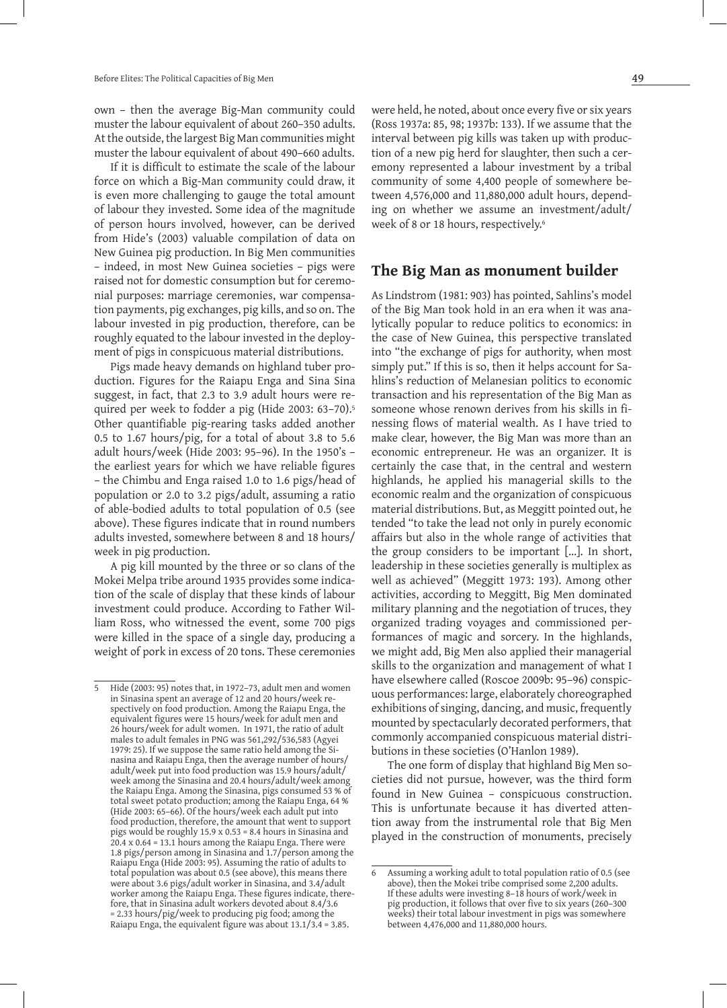own – then the average Big-Man community could muster the labour equivalent of about 260–350 adults. At the outside, the largest Big Man communities might muster the labour equivalent of about 490–660 adults.

If it is difficult to estimate the scale of the labour force on which a Big-Man community could draw, it is even more challenging to gauge the total amount of labour they invested. Some idea of the magnitude of person hours involved, however, can be derived from Hide's (2003) valuable compilation of data on New Guinea pig production. In Big Men communities – indeed, in most New Guinea societies – pigs were raised not for domestic consumption but for ceremonial purposes: marriage ceremonies, war compensation payments, pig exchanges, pig kills, and so on. The labour invested in pig production, therefore, can be roughly equated to the labour invested in the deployment of pigs in conspicuous material distributions.

Pigs made heavy demands on highland tuber production. Figures for the Raiapu Enga and Sina Sina suggest, in fact, that 2.3 to 3.9 adult hours were required per week to fodder a pig (Hide 2003: 63-70).<sup>5</sup> Other quantifiable pig-rearing tasks added another 0.5 to 1.67 hours/pig, for a total of about 3.8 to 5.6 adult hours/week (Hide 2003: 95–96). In the 1950's – the earliest years for which we have reliable figures – the Chimbu and Enga raised 1.0 to 1.6 pigs/head of population or 2.0 to 3.2 pigs/adult, assuming a ratio of able-bodied adults to total population of 0.5 (see above). These figures indicate that in round numbers adults invested, somewhere between 8 and 18 hours/ week in pig production.

A pig kill mounted by the three or so clans of the Mokei Melpa tribe around 1935 provides some indication of the scale of display that these kinds of labour investment could produce. According to Father William Ross, who witnessed the event, some 700 pigs were killed in the space of a single day, producing a weight of pork in excess of 20 tons. These ceremonies

were held, he noted, about once every five or six years (Ross 1937a: 85, 98; 1937b: 133). If we assume that the interval between pig kills was taken up with production of a new pig herd for slaughter, then such a ceremony represented a labour investment by a tribal community of some 4,400 people of somewhere between 4,576,000 and 11,880,000 adult hours, depending on whether we assume an investment/adult/ week of 8 or 18 hours, respectively.<sup>6</sup>

### **The Big Man as monument builder**

As Lindstrom (1981: 903) has pointed, Sahlins's model of the Big Man took hold in an era when it was analytically popular to reduce politics to economics: in the case of New Guinea, this perspective translated into "the exchange of pigs for authority, when most simply put." If this is so, then it helps account for Sahlins's reduction of Melanesian politics to economic transaction and his representation of the Big Man as someone whose renown derives from his skills in finessing flows of material wealth. As I have tried to make clear, however, the Big Man was more than an economic entrepreneur. He was an organizer. It is certainly the case that, in the central and western highlands, he applied his managerial skills to the economic realm and the organization of conspicuous material distributions. But, as Meggitt pointed out, he tended "to take the lead not only in purely economic affairs but also in the whole range of activities that the group considers to be important [...]. In short, leadership in these societies generally is multiplex as well as achieved" (Meggitt 1973: 193). Among other activities, according to Meggitt, Big Men dominated military planning and the negotiation of truces, they organized trading voyages and commissioned performances of magic and sorcery. In the highlands, we might add, Big Men also applied their managerial skills to the organization and management of what I have elsewhere called (Roscoe 2009b: 95–96) conspicuous performances: large, elaborately choreographed exhibitions of singing, dancing, and music, frequently mounted by spectacularly decorated performers, that commonly accompanied conspicuous material distributions in these societies (O'Hanlon 1989).

The one form of display that highland Big Men societies did not pursue, however, was the third form found in New Guinea – conspicuous construction. This is unfortunate because it has diverted attention away from the instrumental role that Big Men played in the construction of monuments, precisely

<sup>5</sup> Hide (2003: 95) notes that, in 1972–73, adult men and women in Sinasina spent an average of 12 and 20 hours/week respectively on food production. Among the Raiapu Enga, the equivalent figures were 15 hours/week for adult men and 26 hours/week for adult women. In 1971, the ratio of adult males to adult females in PNG was 561,292/536,583 (Agyei 1979: 25). If we suppose the same ratio held among the Sinasina and Raiapu Enga, then the average number of hours/ adult/week put into food production was 15.9 hours/adult/ week among the Sinasina and 20.4 hours/adult/week among the Raiapu Enga. Among the Sinasina, pigs consumed 53 % of total sweet potato production; among the Raiapu Enga, 64 % (Hide 2003: 65–66). Of the hours/week each adult put into food production, therefore, the amount that went to support pigs would be roughly 15.9 x 0.53 = 8.4 hours in Sinasina and 20.4 x 0.64 = 13.1 hours among the Raiapu Enga. There were 1.8 pigs/person among in Sinasina and 1.7/person among the Raiapu Enga (Hide 2003: 95). Assuming the ratio of adults to total population was about 0.5 (see above), this means there were about 3.6 pigs/adult worker in Sinasina, and 3.4/adult worker among the Raiapu Enga. These figures indicate, therefore, that in Sinasina adult workers devoted about 8.4/3.6 = 2.33 hours/pig/week to producing pig food; among the Raiapu Enga, the equivalent figure was about 13.1/3.4 = 3.85.

<sup>6</sup> Assuming a working adult to total population ratio of 0.5 (see above), then the Mokei tribe comprised some 2,200 adults. If these adults were investing 8–18 hours of work/week in pig production, it follows that over five to six years (260–300 weeks) their total labour investment in pigs was somewhere between 4,476,000 and 11,880,000 hours.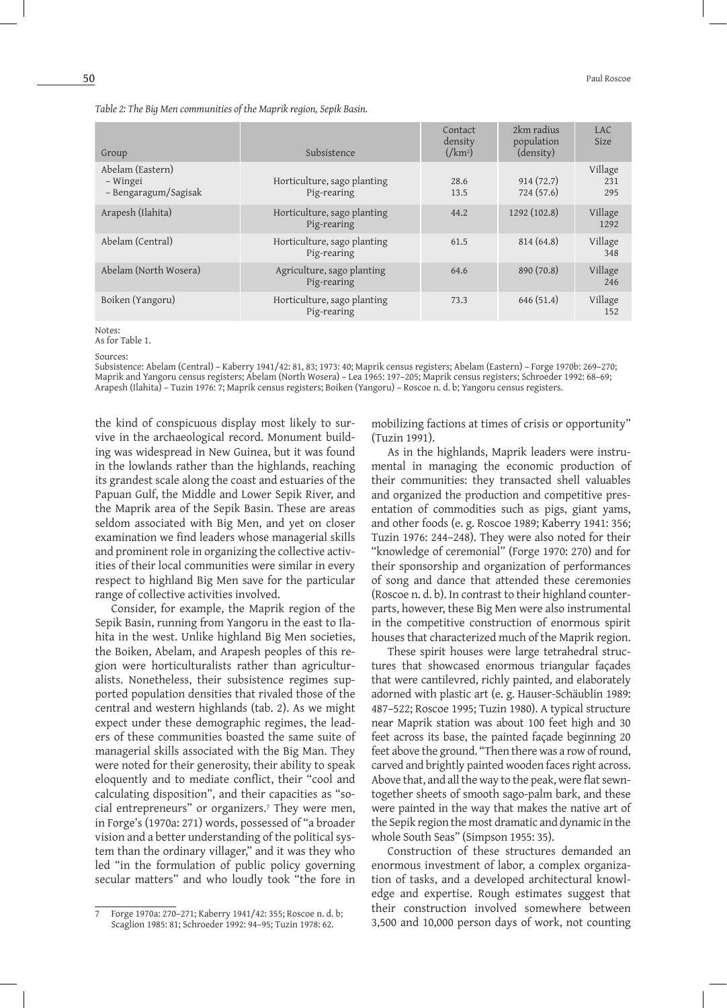| Group                                                | Subsistence                                | Contact<br>density<br>$\frac{1}{\text{km}^2}$ | 2km radius<br>population<br>(density) | LAC<br>Size           |
|------------------------------------------------------|--------------------------------------------|-----------------------------------------------|---------------------------------------|-----------------------|
| Abelam (Eastern)<br>– Wingei<br>- Bengaragum/Sagisak | Horticulture, sago planting<br>Pig-rearing | 28.6<br>13.5                                  | 914(72.7)<br>724 (57.6)               | Village<br>231<br>295 |
| Arapesh (Ilahita)                                    | Horticulture, sago planting<br>Pig-rearing | 44.2                                          | 1292 (102.8)                          | Village<br>1292       |
| Abelam (Central)                                     | Horticulture, sago planting<br>Pig-rearing | 61.5                                          | 814 (64.8)                            | Village<br>348        |
| Abelam (North Wosera)                                | Agriculture, sago planting<br>Pig-rearing  | 64.6                                          | 890 (70.8)                            | Village<br>246        |
| Boiken (Yangoru)                                     | Horticulture, sago planting<br>Pig-rearing | 73.3                                          | 646 (51.4)                            | Village<br>152        |

*Table 2: The Big Men communities of the Maprik region, Sepik Basin.*

Notes:

As for Table 1.

Sources:

Subsistence: Abelam (Central) – Kaberry 1941/42: 81, 83; 1973: 40; Maprik census registers; Abelam (Eastern) – Forge 1970b: 269–270; Maprik and Yangoru census registers; Abelam (North Wosera) – Lea 1965: 197–205; Maprik census registers; Schroeder 1992: 68–69; Arapesh (Ilahita) – Tuzin 1976: 7; Maprik census registers; Boiken (Yangoru) – Roscoe n. d. b; Yangoru census registers.

the kind of conspicuous display most likely to survive in the archaeological record. Monument building was widespread in New Guinea, but it was found in the lowlands rather than the highlands, reaching its grandest scale along the coast and estuaries of the Papuan Gulf, the Middle and Lower Sepik River, and the Maprik area of the Sepik Basin. These are areas seldom associated with Big Men, and yet on closer examination we find leaders whose managerial skills and prominent role in organizing the collective activities of their local communities were similar in every respect to highland Big Men save for the particular range of collective activities involved.

Consider, for example, the Maprik region of the Sepik Basin, running from Yangoru in the east to Ilahita in the west. Unlike highland Big Men societies, the Boiken, Abelam, and Arapesh peoples of this region were horticulturalists rather than agriculturalists. Nonetheless, their subsistence regimes supported population densities that rivaled those of the central and western highlands (tab. 2). As we might expect under these demographic regimes, the leaders of these communities boasted the same suite of managerial skills associated with the Big Man. They were noted for their generosity, their ability to speak eloquently and to mediate conflict, their "cool and calculating disposition", and their capacities as "social entrepreneurs" or organizers.7 They were men, in Forge's (1970a: 271) words, possessed of "a broader vision and a better understanding of the political system than the ordinary villager," and it was they who led "in the formulation of public policy governing secular matters" and who loudly took "the fore in

mobilizing factions at times of crisis or opportunity" (Tuzin 1991).

As in the highlands, Maprik leaders were instrumental in managing the economic production of their communities: they transacted shell valuables and organized the production and competitive presentation of commodities such as pigs, giant yams, and other foods (e. g. Roscoe 1989; Kaberry 1941: 356; Tuzin 1976: 244–248). They were also noted for their "knowledge of ceremonial" (Forge 1970: 270) and for their sponsorship and organization of performances of song and dance that attended these ceremonies (Roscoe n. d. b). In contrast to their highland counterparts, however, these Big Men were also instrumental in the competitive construction of enormous spirit houses that characterized much of the Maprik region.

These spirit houses were large tetrahedral structures that showcased enormous triangular façades that were cantilevred, richly painted, and elaborately adorned with plastic art (e. g. Hauser-Schäublin 1989: 487–522; Roscoe 1995; Tuzin 1980). A typical structure near Maprik station was about 100 feet high and 30 feet across its base, the painted façade beginning 20 feet above the ground. "Then there was a row of round, carved and brightly painted wooden faces right across. Above that, and all the way to the peak, were flat sewntogether sheets of smooth sago-palm bark, and these were painted in the way that makes the native art of the Sepik region the most dramatic and dynamic in the whole South Seas" (Simpson 1955: 35).

Construction of these structures demanded an enormous investment of labor, a complex organization of tasks, and a developed architectural knowledge and expertise. Rough estimates suggest that their construction involved somewhere between 3,500 and 10,000 person days of work, not counting

<sup>7</sup> Forge 1970a: 270–271; Kaberry 1941/42: 355; Roscoe n. d. b; Scaglion 1985: 81; Schroeder 1992: 94–95; Tuzin 1978: 62.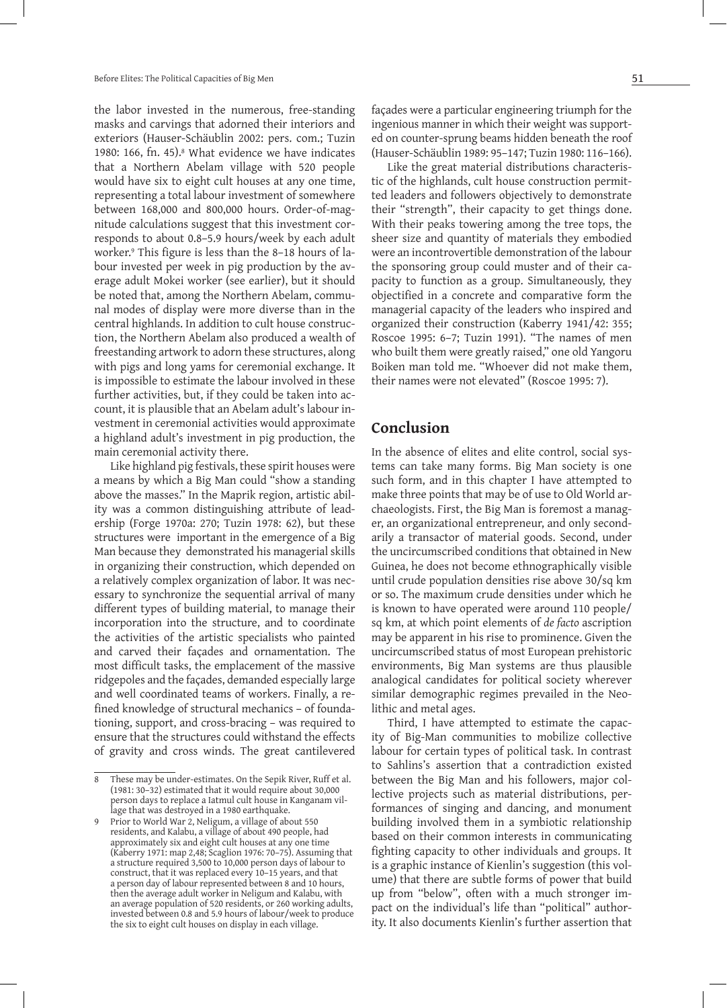the labor invested in the numerous, free-standing masks and carvings that adorned their interiors and exteriors (Hauser-Schäublin 2002: pers. com.; Tuzin 1980: 166, fn. 45).<sup>8</sup> What evidence we have indicates that a Northern Abelam village with 520 people would have six to eight cult houses at any one time, representing a total labour investment of somewhere between 168,000 and 800,000 hours. Order-of-magnitude calculations suggest that this investment corresponds to about 0.8–5.9 hours/week by each adult worker.<sup>9</sup> This figure is less than the 8-18 hours of labour invested per week in pig production by the average adult Mokei worker (see earlier), but it should be noted that, among the Northern Abelam, communal modes of display were more diverse than in the central highlands. In addition to cult house construction, the Northern Abelam also produced a wealth of freestanding artwork to adorn these structures, along with pigs and long yams for ceremonial exchange. It is impossible to estimate the labour involved in these further activities, but, if they could be taken into account, it is plausible that an Abelam adult's labour investment in ceremonial activities would approximate a highland adult's investment in pig production, the main ceremonial activity there.

Like highland pig festivals, these spirit houses were a means by which a Big Man could "show a standing above the masses." In the Maprik region, artistic ability was a common distinguishing attribute of leadership (Forge 1970a: 270; Tuzin 1978: 62), but these structures were important in the emergence of a Big Man because they demonstrated his managerial skills in organizing their construction, which depended on a relatively complex organization of labor. It was necessary to synchronize the sequential arrival of many different types of building material, to manage their incorporation into the structure, and to coordinate the activities of the artistic specialists who painted and carved their façades and ornamentation. The most difficult tasks, the emplacement of the massive ridgepoles and the façades, demanded especially large and well coordinated teams of workers. Finally, a refined knowledge of structural mechanics – of foundationing, support, and cross-bracing – was required to ensure that the structures could withstand the effects of gravity and cross winds. The great cantilevered

façades were a particular engineering triumph for the ingenious manner in which their weight was supported on counter-sprung beams hidden beneath the roof (Hauser-Schäublin 1989: 95–147; Tuzin 1980: 116–166).

Like the great material distributions characteristic of the highlands, cult house construction permitted leaders and followers objectively to demonstrate their "strength", their capacity to get things done. With their peaks towering among the tree tops, the sheer size and quantity of materials they embodied were an incontrovertible demonstration of the labour the sponsoring group could muster and of their capacity to function as a group. Simultaneously, they objectified in a concrete and comparative form the managerial capacity of the leaders who inspired and organized their construction (Kaberry 1941/42: 355; Roscoe 1995: 6–7; Tuzin 1991). "The names of men who built them were greatly raised," one old Yangoru Boiken man told me. "Whoever did not make them, their names were not elevated" (Roscoe 1995: 7).

### **Conclusion**

In the absence of elites and elite control, social systems can take many forms. Big Man society is one such form, and in this chapter I have attempted to make three points that may be of use to Old World archaeologists. First, the Big Man is foremost a manager, an organizational entrepreneur, and only secondarily a transactor of material goods. Second, under the uncircumscribed conditions that obtained in New Guinea, he does not become ethnographically visible until crude population densities rise above 30/sq km or so. The maximum crude densities under which he is known to have operated were around 110 people/ sq km, at which point elements of *de facto* ascription may be apparent in his rise to prominence. Given the uncircumscribed status of most European prehistoric environments, Big Man systems are thus plausible analogical candidates for political society wherever similar demographic regimes prevailed in the Neolithic and metal ages.

Third, I have attempted to estimate the capacity of Big-Man communities to mobilize collective labour for certain types of political task. In contrast to Sahlins's assertion that a contradiction existed between the Big Man and his followers, major collective projects such as material distributions, performances of singing and dancing, and monument building involved them in a symbiotic relationship based on their common interests in communicating fighting capacity to other individuals and groups. It is a graphic instance of Kienlin's suggestion (this volume) that there are subtle forms of power that build up from "below", often with a much stronger impact on the individual's life than "political" authority. It also documents Kienlin's further assertion that

<sup>8</sup> These may be under-estimates. On the Sepik River, Ruff et al. (1981: 30–32) estimated that it would require about 30,000 person days to replace a Iatmul cult house in Kanganam village that was destroyed in a 1980 earthquake.

<sup>9</sup> Prior to World War 2, Neligum, a village of about 550 residents, and Kalabu, a village of about 490 people, had approximately six and eight cult houses at any one time (Kaberry 1971: map 2,48; Scaglion 1976: 70–75). Assuming that a structure required 3,500 to 10,000 person days of labour to construct, that it was replaced every 10–15 years, and that a person day of labour represented between 8 and 10 hours, then the average adult worker in Neligum and Kalabu, with an average population of 520 residents, or 260 working adults, invested between 0.8 and 5.9 hours of labour/week to produce the six to eight cult houses on display in each village.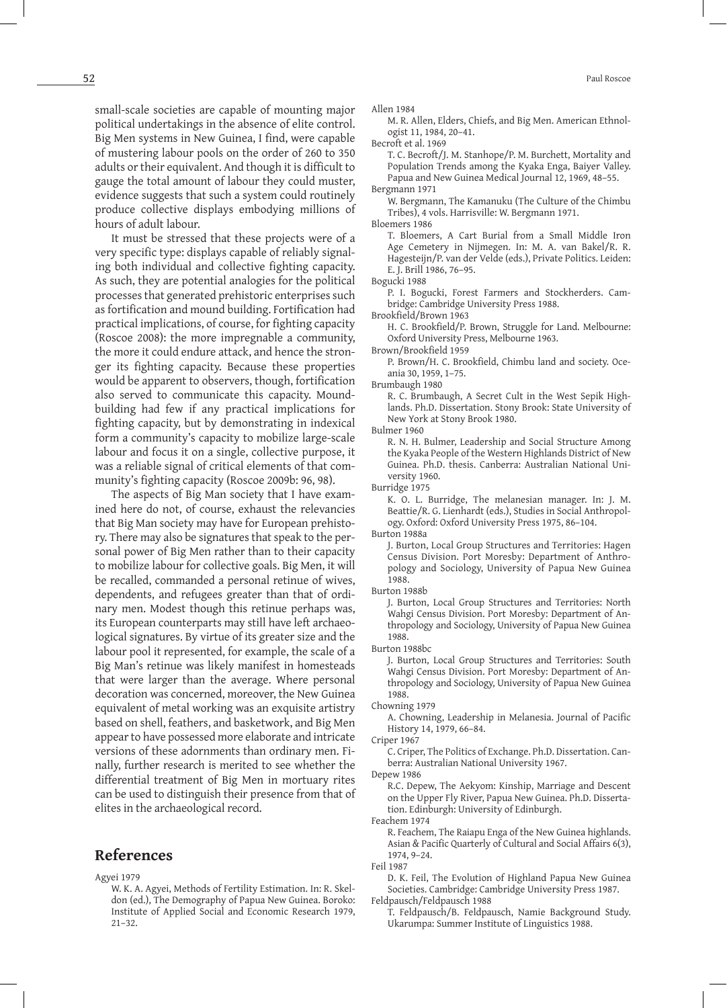small-scale societies are capable of mounting major political undertakings in the absence of elite control. Big Men systems in New Guinea, I find, were capable of mustering labour pools on the order of 260 to 350 adults or their equivalent. And though it is difficult to gauge the total amount of labour they could muster, evidence suggests that such a system could routinely produce collective displays embodying millions of hours of adult labour.

It must be stressed that these projects were of a very specific type: displays capable of reliably signaling both individual and collective fighting capacity. As such, they are potential analogies for the political processes that generated prehistoric enterprises such as fortification and mound building. Fortification had practical implications, of course, for fighting capacity (Roscoe 2008): the more impregnable a community, the more it could endure attack, and hence the stronger its fighting capacity. Because these properties would be apparent to observers, though, fortification also served to communicate this capacity. Moundbuilding had few if any practical implications for fighting capacity, but by demonstrating in indexical form a community's capacity to mobilize large-scale labour and focus it on a single, collective purpose, it was a reliable signal of critical elements of that community's fighting capacity (Roscoe 2009b: 96, 98).

The aspects of Big Man society that I have examined here do not, of course, exhaust the relevancies that Big Man society may have for European prehistory. There may also be signatures that speak to the personal power of Big Men rather than to their capacity to mobilize labour for collective goals. Big Men, it will be recalled, commanded a personal retinue of wives, dependents, and refugees greater than that of ordinary men. Modest though this retinue perhaps was, its European counterparts may still have left archaeological signatures. By virtue of its greater size and the labour pool it represented, for example, the scale of a Big Man's retinue was likely manifest in homesteads that were larger than the average. Where personal decoration was concerned, moreover, the New Guinea equivalent of metal working was an exquisite artistry based on shell, feathers, and basketwork, and Big Men appear to have possessed more elaborate and intricate versions of these adornments than ordinary men. Finally, further research is merited to see whether the differential treatment of Big Men in mortuary rites can be used to distinguish their presence from that of elites in the archaeological record.

### **References**

Agyei 1979

W. K. A. Agyei, Methods of Fertility Estimation. In: R. Skeldon (ed.), The Demography of Papua New Guinea. Boroko: Institute of Applied Social and Economic Research 1979, 21–32.

Allen 1984

M. R. Allen, Elders, Chiefs, and Big Men. American Ethnologist 11, 1984, 20–41.

Becroft et al. 1969

T. C. Becroft/J. M. Stanhope/P. M. Burchett, Mortality and Population Trends among the Kyaka Enga, Baiyer Valley. Papua and New Guinea Medical Journal 12, 1969, 48–55. Bergmann 1971

W. Bergmann, The Kamanuku (The Culture of the Chimbu Tribes), 4 vols. Harrisville: W. Bergmann 1971.

Bloemers 1986

T. Bloemers, A Cart Burial from a Small Middle Iron Age Cemetery in Nijmegen. In: M. A. van Bakel/R. R. Hagesteijn/P. van der Velde (eds.), Private Politics. Leiden: E. J. Brill 1986, 76–95.

P. I. Bogucki, Forest Farmers and Stockherders. Cambridge: Cambridge University Press 1988.

Brookfield/Brown 1963

 H. C. Brookfield/P. Brown, Struggle for Land. Melbourne: Oxford University Press, Melbourne 1963.

Brown/Brookfield 1959

 P. Brown/H. C. Brookfield, Chimbu land and society. Oceania 30, 1959, 1–75.

Brumbaugh 1980

R. C. Brumbaugh, A Secret Cult in the West Sepik Highlands. Ph.D. Dissertation. Stony Brook: State University of New York at Stony Brook 1980.

Bulmer 1960

R. N. H. Bulmer, Leadership and Social Structure Among the Kyaka People of the Western Highlands District of New Guinea. Ph.D. thesis. Canberra: Australian National University 1960.

Burridge 1975

K. O. L. Burridge, The melanesian manager. In: J. M. Beattie/R. G. Lienhardt (eds.), Studies in Social Anthropology. Oxford: Oxford University Press 1975, 86–104.

Burton 1988a

J. Burton, Local Group Structures and Territories: Hagen Census Division. Port Moresby: Department of Anthropology and Sociology, University of Papua New Guinea 1988.

Burton 1988b

J. Burton, Local Group Structures and Territories: North Wahgi Census Division. Port Moresby: Department of Anthropology and Sociology, University of Papua New Guinea 1988.

Burton 1988bc

J. Burton, Local Group Structures and Territories: South Wahgi Census Division. Port Moresby: Department of Anthropology and Sociology, University of Papua New Guinea 1988.

Chowning 1979

 A. Chowning, Leadership in Melanesia. Journal of Pacific History 14, 1979, 66–84.

C. Criper, The Politics of Exchange. Ph.D. Dissertation. Canberra: Australian National University 1967.

Depew 1986

R.C. Depew, The Aekyom: Kinship, Marriage and Descent on the Upper Fly River, Papua New Guinea. Ph.D. Dissertation. Edinburgh: University of Edinburgh.

Feachem 1974

R. Feachem, The Raiapu Enga of the New Guinea highlands. Asian & Pacific Quarterly of Cultural and Social Affairs 6(3), 1974, 9–24.

Feil 1987

D. K. Feil, The Evolution of Highland Papua New Guinea Societies. Cambridge: Cambridge University Press 1987. Feldpausch/Feldpausch 1988

T. Feldpausch/B. Feldpausch, Namie Background Study. Ukarumpa: Summer Institute of Linguistics 1988.

Bogucki 1988

Criper 1967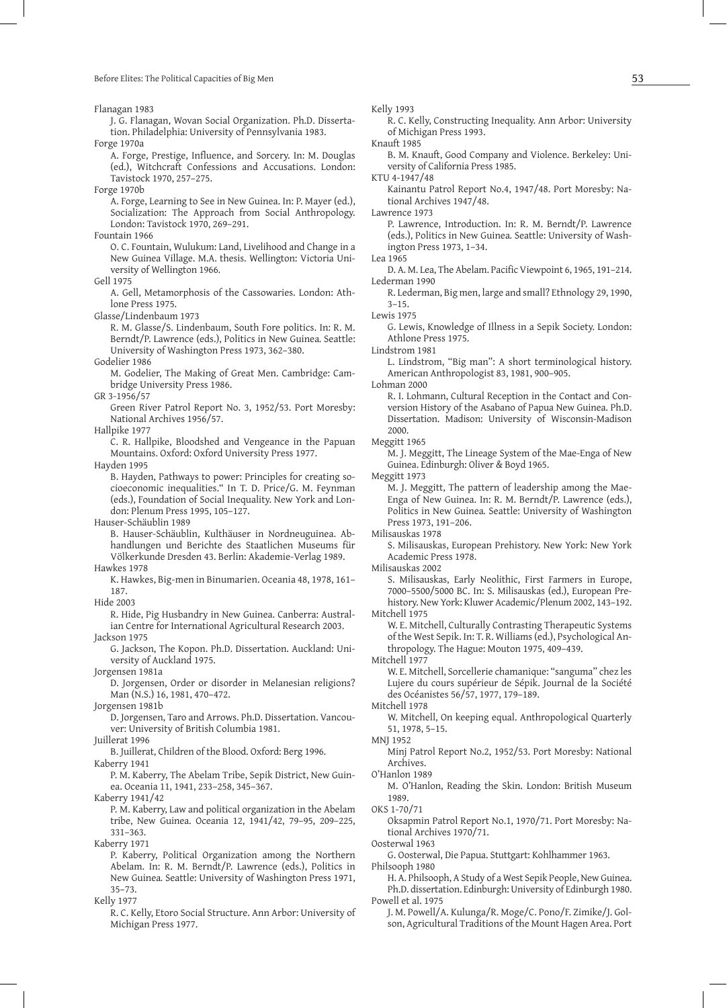Before Elites: The Political Capacities of Big Men  $53$ 

Flanagan 1983

J. G. Flanagan, Wovan Social Organization. Ph.D. Dissertation. Philadelphia: University of Pennsylvania 1983.

Forge 1970a

 A. Forge, Prestige, Influence, and Sorcery. In: M. Douglas (ed.), Witchcraft Confessions and Accusations. London: Tavistock 1970, 257–275.

Forge 1970b

A. Forge, Learning to See in New Guinea. In: P. Mayer (ed.), Socialization: The Approach from Social Anthropology. London: Tavistock 1970, 269–291.

Fountain 1966

O. C. Fountain, Wulukum: Land, Livelihood and Change in a New Guinea Village. M.A. thesis. Wellington: Victoria University of Wellington 1966.

Gell 1975

A. Gell, Metamorphosis of the Cassowaries. London: Athlone Press 1975.

Glasse/Lindenbaum 1973

R. M. Glasse/S. Lindenbaum, South Fore politics. In: R. M. Berndt/P. Lawrence (eds.), Politics in New Guinea*.* Seattle: University of Washington Press 1973, 362–380.

Godelier 1986

M. Godelier, The Making of Great Men. Cambridge: Cambridge University Press 1986.

GR 3-1956/57

Green River Patrol Report No. 3, 1952/53. Port Moresby: National Archives 1956/57.

Hallpike 1977

C. R. Hallpike, Bloodshed and Vengeance in the Papuan Mountains. Oxford: Oxford University Press 1977.

Hayden 1995

B. Hayden, Pathways to power: Principles for creating socioeconomic inequalities." In T. D. Price/G. M. Feynman (eds.), Foundation of Social Inequality. New York and London: Plenum Press 1995, 105–127.

Hauser-Schäublin 1989

- B. Hauser-Schäublin, Kulthäuser in Nordneuguinea. Abhandlungen und Berichte des Staatlichen Museums für Völkerkunde Dresden 43. Berlin: Akademie-Verlag 1989. Hawkes 1978
- K. Hawkes, Big-men in Binumarien. Oceania 48, 1978, 161– 187.

Hide 2003

R. Hide, Pig Husbandry in New Guinea. Canberra: Australian Centre for International Agricultural Research 2003. Jackson 1975

G. Jackson, The Kopon. Ph.D. Dissertation. Auckland: University of Auckland 1975.

Jorgensen 1981a

D. Jorgensen, Order or disorder in Melanesian religions? Man (N.S.) 16, 1981, 470–472.

Jorgensen 1981b

D. Jorgensen, Taro and Arrows. Ph.D. Dissertation. Vancouver: University of British Columbia 1981.

Juillerat 1996

B. Juillerat, Children of the Blood. Oxford: Berg 1996.

Kaberry 1941

P. M. Kaberry, The Abelam Tribe, Sepik District, New Guinea. Oceania 11, 1941, 233–258, 345–367.

Kaberry 1941/42

P. M. Kaberry, Law and political organization in the Abelam tribe, New Guinea. Oceania 12, 1941/42, 79–95, 209–225, 331–363.

Kaberry 1971

P. Kaberry, Political Organization among the Northern Abelam. In: R. M. Berndt/P. Lawrence (eds.), Politics in New Guinea*.* Seattle: University of Washington Press 1971, 35–73.

Kelly 1977

R. C. Kelly, Etoro Social Structure. Ann Arbor: University of Michigan Press 1977.

Kelly 1993

R. C. Kelly, Constructing Inequality. Ann Arbor: University of Michigan Press 1993.

Knauft 1985

B. M. Knauft, Good Company and Violence. Berkeley: University of California Press 1985.

KTU 4-1947/48

Kainantu Patrol Report No.4, 1947/48. Port Moresby: National Archives 1947/48.

Lawrence 1973

- P. Lawrence, Introduction. In: R. M. Berndt/P. Lawrence (eds.), Politics in New Guinea*.* Seattle: University of Washington Press 1973, 1–34.
- Lea 1965

 D. A. M. Lea, The Abelam. Pacific Viewpoint 6, 1965, 191–214. Lederman 1990

R. Lederman, Big men, large and small? Ethnology 29, 1990,  $3 - 15.$ 

Lewis 1975

G. Lewis, Knowledge of Illness in a Sepik Society. London: Athlone Press 1975.

Lindstrom 1981

L. Lindstrom, "Big man": A short terminological history. American Anthropologist 83, 1981, 900–905.

Lohman 2000

R. I. Lohmann, Cultural Reception in the Contact and Conversion History of the Asabano of Papua New Guinea. Ph.D. Dissertation. Madison: University of Wisconsin-Madison 2000.

Meggitt 1965

M. J. Meggitt, The Lineage System of the Mae-Enga of New Guinea. Edinburgh: Oliver & Boyd 1965.

Meggitt 1973

M. J. Meggitt, The pattern of leadership among the Mae-Enga of New Guinea. In: R. M. Berndt/P. Lawrence (eds.), Politics in New Guinea*.* Seattle: University of Washington Press 1973, 191–206.

Milisauskas 1978

S. Milisauskas, European Prehistory. New York: New York Academic Press 1978.

Milisauskas 2002

S. Milisauskas, Early Neolithic, First Farmers in Europe, 7000–5500/5000 BC. In: S. Milisauskas (ed.), European Prehistory. New York: Kluwer Academic/Plenum 2002, 143–192. Mitchell 1975

W. E. Mitchell, Culturally Contrasting Therapeutic Systems of the West Sepik. In: T. R. Williams (ed.), Psychological Anthropology. The Hague: Mouton 1975, 409–439.

Mitchell 1977

W. E. Mitchell, Sorcellerie chamanique: "sanguma" chez les Lujere du cours supérieur de Sépik. Journal de la Société des Océanistes 56/57, 1977, 179–189.

Mitchell 1978

W. Mitchell, On keeping equal. Anthropological Quarterly 51, 1978, 5–15.

MNJ 1952

Minj Patrol Report No.2, 1952/53. Port Moresby: National Archives.

O'Hanlon 1989

M. O'Hanlon, Reading the Skin. London: British Museum 1989.

OKS 1-70/71

Oksapmin Patrol Report No.1, 1970/71. Port Moresby: National Archives 1970/71.

Oosterwal 1963

G. Oosterwal, Die Papua. Stuttgart: Kohlhammer 1963.

Philsooph 1980 H. A. Philsooph, A Study of a West Sepik People, New Guinea. Ph.D. dissertation. Edinburgh: University of Edinburgh 1980. Powell et al. 1975

J. M. Powell/A. Kulunga/R. Moge/C. Pono/F. Zimike/J. Golson, Agricultural Traditions of the Mount Hagen Area. Port